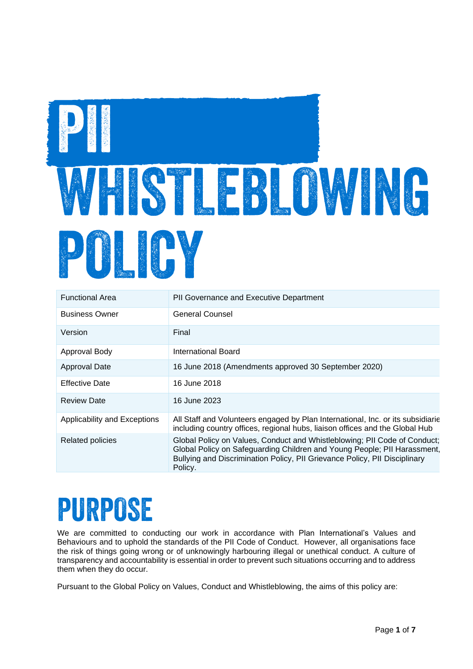

| <b>Functional Area</b>       | PII Governance and Executive Department                                                                                                                                                                                                        |
|------------------------------|------------------------------------------------------------------------------------------------------------------------------------------------------------------------------------------------------------------------------------------------|
| <b>Business Owner</b>        | <b>General Counsel</b>                                                                                                                                                                                                                         |
| Version                      | Final                                                                                                                                                                                                                                          |
| Approval Body                | International Board                                                                                                                                                                                                                            |
| Approval Date                | 16 June 2018 (Amendments approved 30 September 2020)                                                                                                                                                                                           |
| <b>Effective Date</b>        | 16 June 2018                                                                                                                                                                                                                                   |
| <b>Review Date</b>           | 16 June 2023                                                                                                                                                                                                                                   |
| Applicability and Exceptions | All Staff and Volunteers engaged by Plan International, Inc. or its subsidiarie<br>including country offices, regional hubs, liaison offices and the Global Hub                                                                                |
| <b>Related policies</b>      | Global Policy on Values, Conduct and Whistleblowing; PII Code of Conduct;<br>Global Policy on Safeguarding Children and Young People; PII Harassment,<br>Bullying and Discrimination Policy, PII Grievance Policy, PII Disciplinary<br>Policy. |

## PURPOSE

We are committed to conducting our work in accordance with Plan International's Values and Behaviours and to uphold the standards of the PII Code of Conduct. However, all organisations face the risk of things going wrong or of unknowingly harbouring illegal or unethical conduct. A culture of transparency and accountability is essential in order to prevent such situations occurring and to address them when they do occur.

Pursuant to the Global Policy on Values, Conduct and Whistleblowing, the aims of this policy are: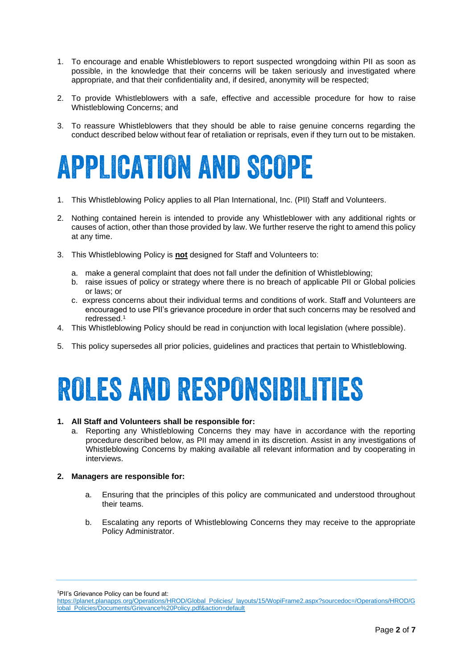- 1. To encourage and enable Whistleblowers to report suspected wrongdoing within PII as soon as possible, in the knowledge that their concerns will be taken seriously and investigated where appropriate, and that their confidentiality and, if desired, anonymity will be respected;
- 2. To provide Whistleblowers with a safe, effective and accessible procedure for how to raise Whistleblowing Concerns; and
- 3. To reassure Whistleblowers that they should be able to raise genuine concerns regarding the conduct described below without fear of retaliation or reprisals, even if they turn out to be mistaken.

## **APPLICATION AND SCOPE**

- 1. This Whistleblowing Policy applies to all Plan International, Inc. (PII) Staff and Volunteers.
- 2. Nothing contained herein is intended to provide any Whistleblower with any additional rights or causes of action, other than those provided by law. We further reserve the right to amend this policy at any time.
- 3. This Whistleblowing Policy is **not** designed for Staff and Volunteers to:
	- a. make a general complaint that does not fall under the definition of Whistleblowing;
	- b. raise issues of policy or strategy where there is no breach of applicable PII or Global policies or laws; or
	- c. express concerns about their individual terms and conditions of work. Staff and Volunteers are encouraged to use PII's grievance procedure in order that such concerns may be resolved and redressed.<sup>1</sup>
- 4. This Whistleblowing Policy should be read in conjunction with local legislation (where possible).
- 5. This policy supersedes all prior policies, guidelines and practices that pertain to Whistleblowing.

## **ROLES AND RESPONSIBILITIES**

#### **1. All Staff and Volunteers shall be responsible for:**

a. Reporting any Whistleblowing Concerns they may have in accordance with the reporting procedure described below, as PII may amend in its discretion. Assist in any investigations of Whistleblowing Concerns by making available all relevant information and by cooperating in interviews.

#### **2. Managers are responsible for:**

- a. Ensuring that the principles of this policy are communicated and understood throughout their teams.
- b. Escalating any reports of Whistleblowing Concerns they may receive to the appropriate Policy Administrator.

<sup>1</sup>PII's Grievance Policy can be found at:

[https://planet.planapps.org/Operations/HROD/Global\\_Policies/\\_layouts/15/WopiFrame2.aspx?sourcedoc=/Operations/HROD/G](https://planet.planapps.org/Operations/HROD/Global_Policies/_layouts/15/WopiFrame2.aspx?sourcedoc=/Operations/HROD/Global_Policies/Documents/Grievance%20Policy.pdf&action=default) [lobal\\_Policies/Documents/Grievance%20Policy.pdf&action=default](https://planet.planapps.org/Operations/HROD/Global_Policies/_layouts/15/WopiFrame2.aspx?sourcedoc=/Operations/HROD/Global_Policies/Documents/Grievance%20Policy.pdf&action=default)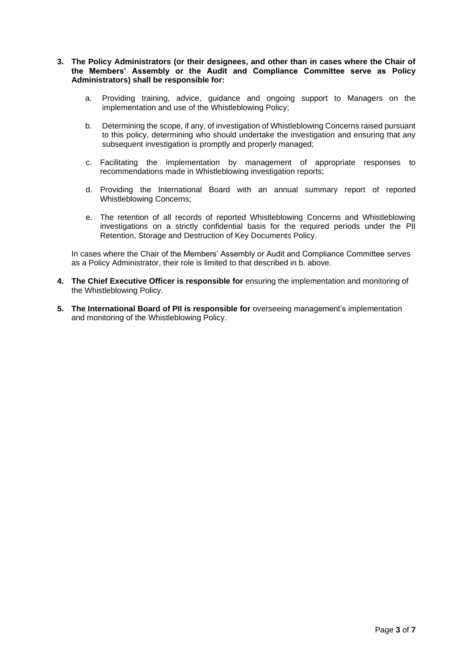#### **3. The Policy Administrators (or their designees, and other than in cases where the Chair of the Members' Assembly or the Audit and Compliance Committee serve as Policy Administrators) shall be responsible for:**

- a. Providing training, advice, guidance and ongoing support to Managers on the implementation and use of the Whistleblowing Policy;
- b. Determining the scope, if any, of investigation of Whistleblowing Concerns raised pursuant to this policy, determining who should undertake the investigation and ensuring that any subsequent investigation is promptly and properly managed;
- c. Facilitating the implementation by management of appropriate responses to recommendations made in Whistleblowing investigation reports;
- d. Providing the International Board with an annual summary report of reported Whistleblowing Concerns;
- e. The retention of all records of reported Whistleblowing Concerns and Whistleblowing investigations on a strictly confidential basis for the required periods under the PII Retention, Storage and Destruction of Key Documents Policy.

In cases where the Chair of the Members' Assembly or Audit and Compliance Committee serves as a Policy Administrator, their role is limited to that described in b. above.

- **4. The Chief Executive Officer is responsible for** ensuring the implementation and monitoring of the Whistleblowing Policy.
- **5. The International Board of PII is responsible for** overseeing management's implementation and monitoring of the Whistleblowing Policy.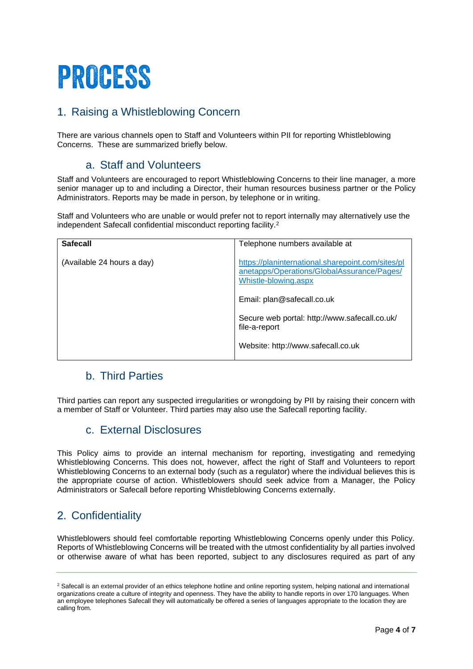# PROCESS

## 1. Raising a Whistleblowing Concern

There are various channels open to Staff and Volunteers within PII for reporting Whistleblowing Concerns. These are summarized briefly below.

### a. Staff and Volunteers

Staff and Volunteers are encouraged to report Whistleblowing Concerns to their line manager, a more senior manager up to and including a Director, their human resources business partner or the Policy Administrators. Reports may be made in person, by telephone or in writing.

Staff and Volunteers who are unable or would prefer not to report internally may alternatively use the independent Safecall confidential misconduct reporting facility.<sup>2</sup>

| <b>Safecall</b>            | Telephone numbers available at                                                                                          |
|----------------------------|-------------------------------------------------------------------------------------------------------------------------|
| (Available 24 hours a day) | https://planinternational.sharepoint.com/sites/pl<br>anetapps/Operations/GlobalAssurance/Pages/<br>Whistle-blowing.aspx |
|                            | Email: plan@safecall.co.uk                                                                                              |
|                            | Secure web portal: http://www.safecall.co.uk/<br>file-a-report                                                          |
|                            | Website: http://www.safecall.co.uk                                                                                      |

### b. Third Parties

Third parties can report any suspected irregularities or wrongdoing by PII by raising their concern with a member of Staff or Volunteer. Third parties may also use the Safecall reporting facility.

### c. External Disclosures

This Policy aims to provide an internal mechanism for reporting, investigating and remedying Whistleblowing Concerns. This does not, however, affect the right of Staff and Volunteers to report Whistleblowing Concerns to an external body (such as a regulator) where the individual believes this is the appropriate course of action. Whistleblowers should seek advice from a Manager, the Policy Administrators or Safecall before reporting Whistleblowing Concerns externally.

## 2. Confidentiality

Whistleblowers should feel comfortable reporting Whistleblowing Concerns openly under this Policy. Reports of Whistleblowing Concerns will be treated with the utmost confidentiality by all parties involved or otherwise aware of what has been reported, subject to any disclosures required as part of any

<sup>&</sup>lt;sup>2</sup> Safecall is an external provider of an ethics telephone hotline and online reporting system, helping national and international organizations create a culture of integrity and openness. They have the ability to handle reports in over 170 languages. When an employee telephones Safecall they will automatically be offered a series of languages appropriate to the location they are calling from.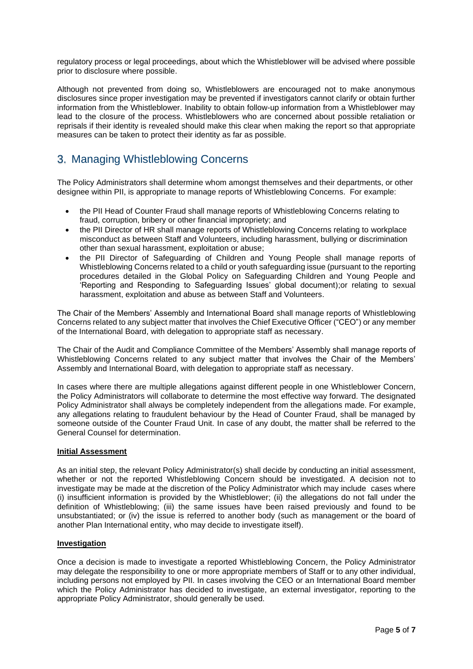regulatory process or legal proceedings, about which the Whistleblower will be advised where possible prior to disclosure where possible.

Although not prevented from doing so, Whistleblowers are encouraged not to make anonymous disclosures since proper investigation may be prevented if investigators cannot clarify or obtain further information from the Whistleblower. Inability to obtain follow-up information from a Whistleblower may lead to the closure of the process. Whistleblowers who are concerned about possible retaliation or reprisals if their identity is revealed should make this clear when making the report so that appropriate measures can be taken to protect their identity as far as possible.

### 3. Managing Whistleblowing Concerns

The Policy Administrators shall determine whom amongst themselves and their departments, or other designee within PII, is appropriate to manage reports of Whistleblowing Concerns. For example:

- the PII Head of Counter Fraud shall manage reports of Whistleblowing Concerns relating to fraud, corruption, bribery or other financial impropriety; and
- the PII Director of HR shall manage reports of Whistleblowing Concerns relating to workplace misconduct as between Staff and Volunteers, including harassment, bullying or discrimination other than sexual harassment, exploitation or abuse;
- the PII Director of Safeguarding of Children and Young People shall manage reports of Whistleblowing Concerns related to a child or youth safeguarding issue (pursuant to the reporting procedures detailed in the Global Policy on Safeguarding Children and Young People and 'Reporting and Responding to Safeguarding Issues' global document);or relating to sexual harassment, exploitation and abuse as between Staff and Volunteers.

The Chair of the Members' Assembly and International Board shall manage reports of Whistleblowing Concerns related to any subject matter that involves the Chief Executive Officer ("CEO") or any member of the International Board, with delegation to appropriate staff as necessary.

The Chair of the Audit and Compliance Committee of the Members' Assembly shall manage reports of Whistleblowing Concerns related to any subject matter that involves the Chair of the Members' Assembly and International Board, with delegation to appropriate staff as necessary.

In cases where there are multiple allegations against different people in one Whistleblower Concern, the Policy Administrators will collaborate to determine the most effective way forward. The designated Policy Administrator shall always be completely independent from the allegations made. For example, any allegations relating to fraudulent behaviour by the Head of Counter Fraud, shall be managed by someone outside of the Counter Fraud Unit. In case of any doubt, the matter shall be referred to the General Counsel for determination.

#### **Initial Assessment**

As an initial step, the relevant Policy Administrator(s) shall decide by conducting an initial assessment, whether or not the reported Whistleblowing Concern should be investigated. A decision not to investigate may be made at the discretion of the Policy Administrator which may include cases where (i) insufficient information is provided by the Whistleblower; (ii) the allegations do not fall under the definition of Whistleblowing; (iii) the same issues have been raised previously and found to be unsubstantiated; or (iv) the issue is referred to another body (such as management or the board of another Plan International entity, who may decide to investigate itself).

#### **Investigation**

Once a decision is made to investigate a reported Whistleblowing Concern, the Policy Administrator may delegate the responsibility to one or more appropriate members of Staff or to any other individual, including persons not employed by PII. In cases involving the CEO or an International Board member which the Policy Administrator has decided to investigate, an external investigator, reporting to the appropriate Policy Administrator, should generally be used.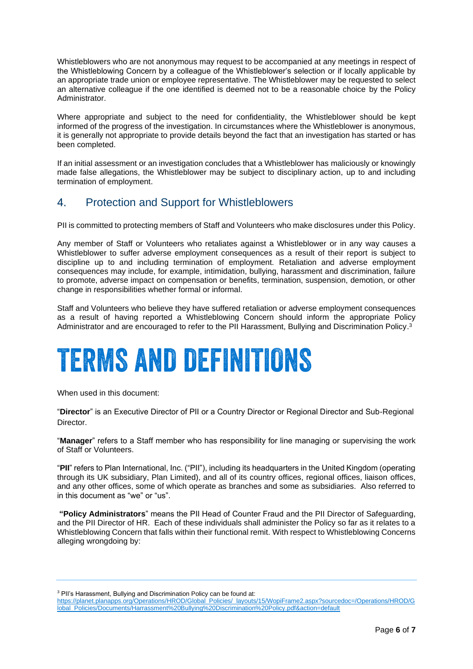Whistleblowers who are not anonymous may request to be accompanied at any meetings in respect of the Whistleblowing Concern by a colleague of the Whistleblower's selection or if locally applicable by an appropriate trade union or employee representative. The Whistleblower may be requested to select an alternative colleague if the one identified is deemed not to be a reasonable choice by the Policy Administrator.

Where appropriate and subject to the need for confidentiality, the Whistleblower should be kept informed of the progress of the investigation. In circumstances where the Whistleblower is anonymous, it is generally not appropriate to provide details beyond the fact that an investigation has started or has been completed.

If an initial assessment or an investigation concludes that a Whistleblower has maliciously or knowingly made false allegations, the Whistleblower may be subject to disciplinary action, up to and including termination of employment.

### 4. Protection and Support for Whistleblowers

PII is committed to protecting members of Staff and Volunteers who make disclosures under this Policy.

Any member of Staff or Volunteers who retaliates against a Whistleblower or in any way causes a Whistleblower to suffer adverse employment consequences as a result of their report is subject to discipline up to and including termination of employment. Retaliation and adverse employment consequences may include, for example, intimidation, bullying, harassment and discrimination, failure to promote, adverse impact on compensation or benefits, termination, suspension, demotion, or other change in responsibilities whether formal or informal.

Staff and Volunteers who believe they have suffered retaliation or adverse employment consequences as a result of having reported a Whistleblowing Concern should inform the appropriate Policy Administrator and are encouraged to refer to the PII Harassment, Bullying and Discrimination Policy.<sup>3</sup>

# **TERMS AND DEFINITIONS**

When used in this document:

"**Director**" is an Executive Director of PII or a Country Director or Regional Director and Sub-Regional Director.

"**Manager**" refers to a Staff member who has responsibility for line managing or supervising the work of Staff or Volunteers.

"**PII**" refers to Plan International, Inc. ("PII"), including its headquarters in the United Kingdom (operating through its UK subsidiary, Plan Limited), and all of its country offices, regional offices, liaison offices, and any other offices, some of which operate as branches and some as subsidiaries. Also referred to in this document as "we" or "us".

**"Policy Administrators**" means the PII Head of Counter Fraud and the PII Director of Safeguarding, and the PII Director of HR. Each of these individuals shall administer the Policy so far as it relates to a Whistleblowing Concern that falls within their functional remit. With respect to Whistleblowing Concerns alleging wrongdoing by:

<sup>3</sup> PII's Harassment. Bullying and Discrimination Policy can be found at:

[https://planet.planapps.org/Operations/HROD/Global\\_Policies/\\_layouts/15/WopiFrame2.aspx?sourcedoc=/Operations/HROD/G](https://planet.planapps.org/Operations/HROD/Global_Policies/_layouts/15/WopiFrame2.aspx?sourcedoc=/Operations/HROD/Global_Policies/Documents/Harrassment%20Bullying%20Discrimination%20Policy.pdf&action=default) [lobal\\_Policies/Documents/Harrassment%20Bullying%20Discrimination%20Policy.pdf&action=default](https://planet.planapps.org/Operations/HROD/Global_Policies/_layouts/15/WopiFrame2.aspx?sourcedoc=/Operations/HROD/Global_Policies/Documents/Harrassment%20Bullying%20Discrimination%20Policy.pdf&action=default)